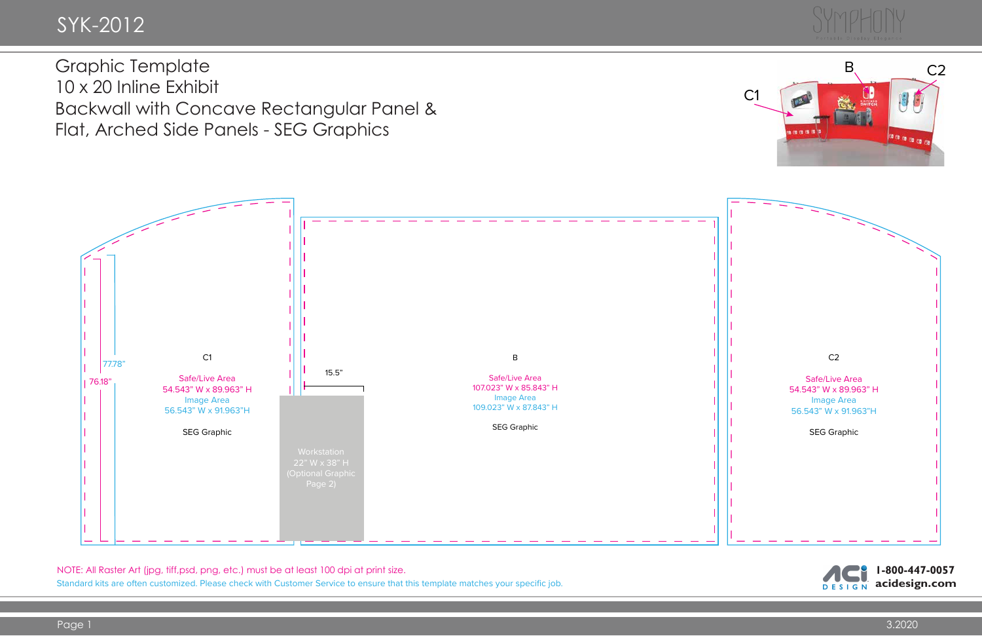NOTE: All Raster Art (jpg, tiff,psd, png, etc.) must be at least 100 dpi at print size.

Standard kits are often customized. Please check with Customer Service to ensure that this template matches your specific job.



Graphic Template 10 x 20 Inline Exhibit Backwall with Concave Rectangular Panel & Flat, Arched Side Panels - SEG Graphics